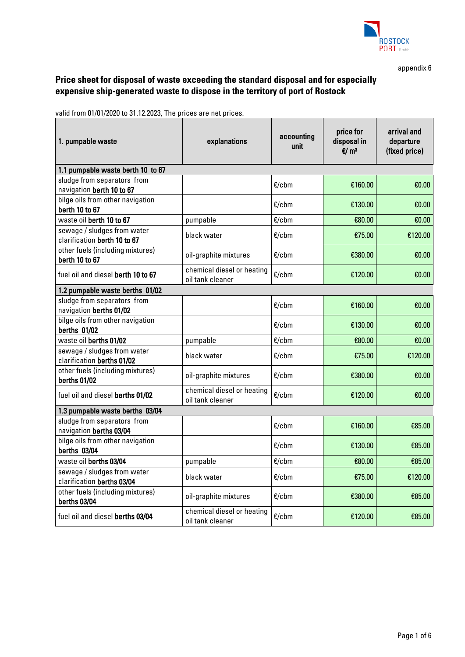

appendix 6

## **Price sheet for disposal of waste exceeding the standard disposal and for especially expensive ship-generated waste to dispose in the territory of port of Rostock**

valid from 01/01/2020 to 31.12.2023, The prices are net prices.

| 1. pumpable waste                                           | explanations                                   | accounting<br>unit | price for<br>disposal in<br>$\mathbf{E}/\mathbf{m}^3$ | arrival and<br>departure<br>(fixed price) |  |  |  |
|-------------------------------------------------------------|------------------------------------------------|--------------------|-------------------------------------------------------|-------------------------------------------|--|--|--|
| 1.1 pumpable waste berth 10 to 67                           |                                                |                    |                                                       |                                           |  |  |  |
| sludge from separators from<br>navigation berth 10 to 67    |                                                | $E$ /cbm           | €160.00                                               | €0.00                                     |  |  |  |
| bilge oils from other navigation<br>berth 10 to 67          |                                                | $E$ /cbm           | €130.00                                               | €0.00                                     |  |  |  |
| waste oil berth 10 to 67                                    | pumpable                                       | $E$ /cbm           | €80.00                                                | €0.00                                     |  |  |  |
| sewage / sludges from water<br>clarification berth 10 to 67 | black water                                    | $E$ /cbm           | €75.00                                                | €120.00                                   |  |  |  |
| other fuels (including mixtures)<br>berth 10 to 67          | oil-graphite mixtures                          | $E$ /cbm           | €380.00                                               | €0.00                                     |  |  |  |
| fuel oil and diesel berth 10 to 67                          | chemical diesel or heating<br>oil tank cleaner | $E/c$ bm           | €120.00                                               | €0.00                                     |  |  |  |
| 1.2 pumpable waste berths 01/02                             |                                                |                    |                                                       |                                           |  |  |  |
| sludge from separators from<br>navigation berths 01/02      |                                                | $E$ /cbm           | €160.00                                               | €0.00                                     |  |  |  |
| bilge oils from other navigation<br>berths 01/02            |                                                | $E$ /cbm           | €130.00                                               | €0.00                                     |  |  |  |
| waste oil berths 01/02                                      | pumpable                                       | $E$ /cbm           | €80.00                                                | €0.00                                     |  |  |  |
| sewage / sludges from water<br>clarification berths 01/02   | black water                                    | $E$ /cbm           | €75.00                                                | €120.00                                   |  |  |  |
| other fuels (including mixtures)<br>berths 01/02            | oil-graphite mixtures                          | $E$ /cbm           | €380.00                                               | €0.00                                     |  |  |  |
| fuel oil and diesel berths 01/02                            | chemical diesel or heating<br>oil tank cleaner | $E$ /cbm           | €120.00                                               |                                           |  |  |  |
| 1.3 pumpable waste berths 03/04                             |                                                |                    |                                                       |                                           |  |  |  |
| sludge from separators from<br>navigation berths 03/04      |                                                | $E$ /cbm           | €160.00                                               | €85.00                                    |  |  |  |
| bilge oils from other navigation<br>berths 03/04            |                                                | $E$ /cbm           | €130.00                                               | €85.00                                    |  |  |  |
| waste oil berths 03/04                                      | pumpable                                       | $E$ /cbm           | €80.00                                                | €85.00                                    |  |  |  |
| sewage / sludges from water<br>clarification berths 03/04   | black water                                    | $E$ /cbm           | €75.00                                                | €120.00                                   |  |  |  |
| other fuels (including mixtures)<br>berths 03/04            | oil-graphite mixtures                          | $E$ /cbm           | €380.00                                               | €85.00                                    |  |  |  |
| fuel oil and diesel berths 03/04                            | chemical diesel or heating<br>oil tank cleaner | $E/c$ bm           | €120.00                                               | €85.00                                    |  |  |  |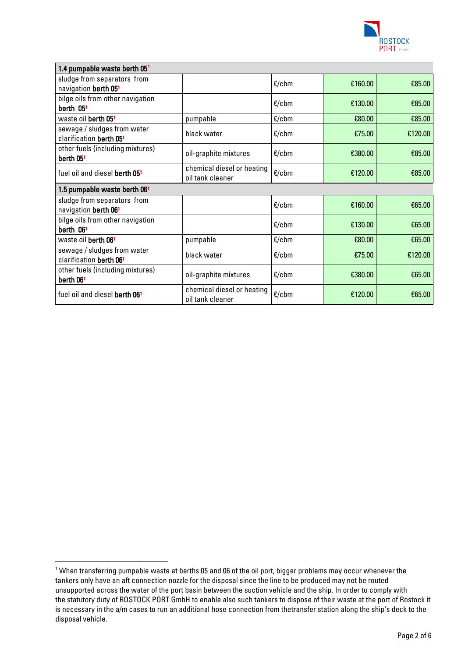

| 1.4 pumpable waste berth 05 <sup>1</sup>                        |                                                |          |         |         |  |
|-----------------------------------------------------------------|------------------------------------------------|----------|---------|---------|--|
| sludge from separators from<br>navigation berth 051             |                                                | $E/c$ bm | €160.00 | €85.00  |  |
| bilge oils from other navigation<br>berth 051                   |                                                | $E/c$ bm | €130.00 | €85.00  |  |
| waste oil berth 051                                             | pumpable                                       | $E$ /cbm | €80.00  | €85.00  |  |
| sewage / sludges from water<br>clarification berth 051          | black water                                    | $E$ /cbm | €75.00  | €120.00 |  |
| other fuels (including mixtures)<br>berth 05 <sup>1</sup>       | oil-graphite mixtures                          | $E$ /cbm | €380.00 | €85.00  |  |
| fuel oil and diesel berth 051                                   | chemical diesel or heating<br>oil tank cleaner | $E/c$ bm | €120.00 | €85.00  |  |
| 1.5 pumpable waste berth 06 <sup>1</sup>                        |                                                |          |         |         |  |
|                                                                 |                                                |          |         |         |  |
| sludge from separators from<br>navigation berth 06 <sup>1</sup> |                                                | $E$ /cbm | €160.00 | €65.00  |  |
| bilge oils from other navigation<br>berth 061                   |                                                | $E/c$ bm | €130.00 | €65.00  |  |
| waste oil berth 061                                             | pumpable                                       | $E$ /cbm | €80.00  | €65.00  |  |
| sewage / sludges from water<br>clarification berth 061          | black water                                    | $E$ /cbm | €75.00  | €120.00 |  |
| other fuels (including mixtures)<br>berth 061                   | oil-graphite mixtures                          | $E$ /cbm | €380.00 | €65.00  |  |

<span id="page-1-0"></span><sup>&</sup>lt;sup>1</sup> When transferring pumpable waste at berths 05 and 06 of the oil port, bigger problems may occur whenever the tankers only have an aft connection nozzle for the disposal since the line to be produced may not be routed unsupported across the water of the port basin between the suction vehicle and the ship. In order to comply with the statutory duty of ROSTOCK PORT GmbH to enable also such tankers to dispose of their waste at the port of Rostock it is necessary in the a/m cases to run an additional hose connection from thetransfer station along the ship's deck to the disposal vehicle.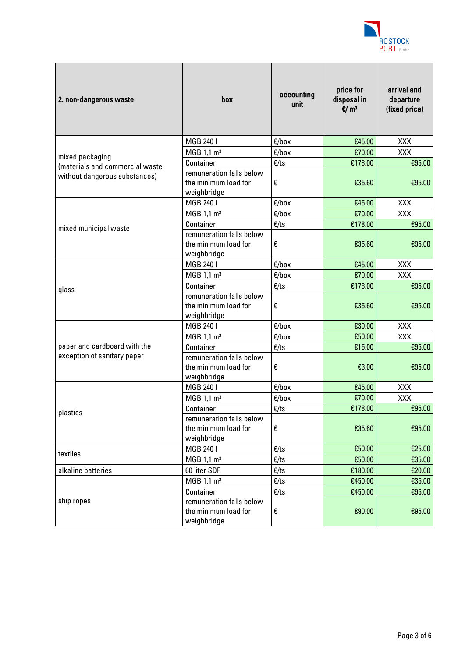

| 2. non-dangerous waste          | box                                                             | accounting<br>unit | price for<br>disposal in<br>$E/m^3$ | arrival and<br>departure<br>(fixed price) |
|---------------------------------|-----------------------------------------------------------------|--------------------|-------------------------------------|-------------------------------------------|
|                                 | MGB 2401                                                        | $E/b$ ox           | €45.00                              | XXX                                       |
| mixed packaging                 | MGB 1,1 m <sup>3</sup>                                          | $E/b$ ox           | €70.00                              | XXX                                       |
| (materials and commercial waste | Container                                                       | E/ts               | €178.00                             | €95.00                                    |
| without dangerous substances)   | remuneration falls below<br>the minimum load for<br>weighbridge | €                  | €35.60                              | €95.00                                    |
|                                 | MGB 2401                                                        | €/box              | €45.00                              | <b>XXX</b>                                |
|                                 | MGB $1,1 \text{ m}^3$                                           | $E/b$ ox           | €70.00                              | XXX                                       |
|                                 | Container                                                       | E/ts               | €178.00                             | €95.00                                    |
| mixed municipal waste           | remuneration falls below<br>the minimum load for<br>weighbridge | €                  | €35.60                              | €95.00                                    |
|                                 | MGB 2401                                                        | $E/b$ ox           | €45.00                              | XXX                                       |
|                                 | MGB 1,1 m <sup>3</sup>                                          | $E/b$ ox           | €70.00                              | XXX                                       |
| glass                           | Container                                                       | E/ts               | €178.00                             | €95.00                                    |
|                                 | remuneration falls below<br>the minimum load for<br>weighbridge | €                  | €35.60                              | €95.00                                    |
|                                 | MGB 2401                                                        | $E/b$ ox           | €30.00                              | <b>XXX</b>                                |
|                                 | MGB 1,1 $\mathrm{m}^3$                                          | $E/b$ ox           | €50.00                              | XXX                                       |
| paper and cardboard with the    | Container                                                       | E/ts               | €15.00                              | €95.00                                    |
| exception of sanitary paper     | remuneration falls below<br>the minimum load for<br>weighbridge | €                  | €3.00                               | €95.00                                    |
|                                 | MGB 240 I                                                       | €/box              | €45.00                              | <b>XXX</b>                                |
|                                 | MGB 1,1 $\mathrm{m}^3$                                          | $E/b$ ox           | €70.00                              | XXX                                       |
| plastics                        | Container                                                       | E/ts               | €178.00                             | €95.00                                    |
|                                 | remuneration falls below<br>the minimum load for<br>weighbridge | €                  | €35.60                              | €95.00                                    |
|                                 | MGB 240 I                                                       | E/ts               | €50.00                              | €25.00                                    |
| textiles                        | MGB 1,1 m <sup>3</sup>                                          | E/ts               | €50.00                              | €35.00                                    |
| alkaline batteries              | 60 liter SDF                                                    | E/ts               | €180.00                             | €20.00                                    |
|                                 | MGB 1,1 $\mathrm{m}^3$                                          | E/ts               | €450.00                             | €35.00                                    |
|                                 | Container                                                       | E/ts               | €450.00                             | €95.00                                    |
| ship ropes                      | remuneration falls below<br>the minimum load for<br>weighbridge | €                  | €90.00                              | €95.00                                    |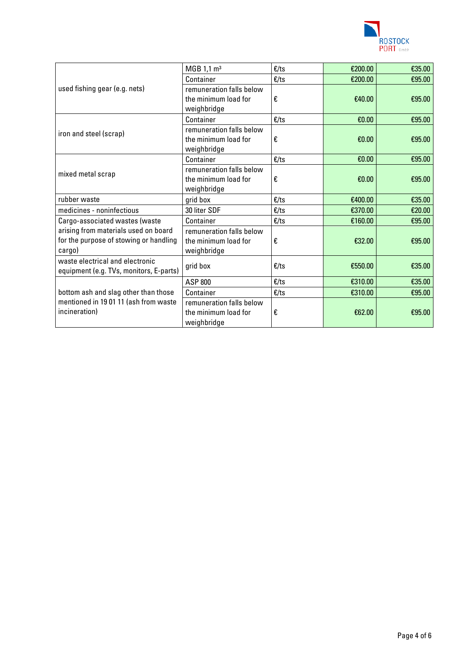

| used fishing gear (e.g. nets)                                                                 | MGB $1,1 \text{ m}^3$                                           | E/ts           | €200.00 | €35.00 |
|-----------------------------------------------------------------------------------------------|-----------------------------------------------------------------|----------------|---------|--------|
|                                                                                               | Container                                                       | E/ts           | €200.00 | €95.00 |
|                                                                                               | remuneration falls below<br>the minimum load for<br>weighbridge | €              | €40.00  | €95.00 |
| iron and steel (scrap)                                                                        | Container                                                       | E/ts           | €0.00   | €95.00 |
|                                                                                               | remuneration falls below<br>the minimum load for<br>weighbridge | €              | €0.00   | €95.00 |
|                                                                                               | Container                                                       | E/ts           | €0.00   | €95.00 |
| mixed metal scrap                                                                             | remuneration falls below<br>the minimum load for<br>weighbridge | €              | €0.00   | €95.00 |
| rubber waste                                                                                  | grid box                                                        | E/ts           | €400.00 | €35.00 |
| medicines - noninfectious                                                                     | 30 liter SDF                                                    | E/ts           | €370.00 | €20.00 |
| Cargo-associated wastes (waste                                                                | Container                                                       | E/ts           | €160.00 | €95.00 |
| arising from materials used on board<br>for the purpose of stowing or handling<br>cargo)      | remuneration falls below<br>the minimum load for<br>weighbridge | €              | €32.00  | €95.00 |
| waste electrical and electronic<br>equipment (e.g. TVs, monitors, E-parts)                    | grid box                                                        | E/ts           | €550.00 | €35.00 |
| bottom ash and slag other than those<br>mentioned in 1901 11 (ash from waste<br>incineration) | <b>ASP 800</b>                                                  | $\epsilon$ /ts | €310.00 | €35.00 |
|                                                                                               | Container                                                       | $\epsilon$ /ts | €310.00 | €95.00 |
|                                                                                               | remuneration falls below<br>the minimum load for<br>weighbridge | €              | €62.00  | €95.00 |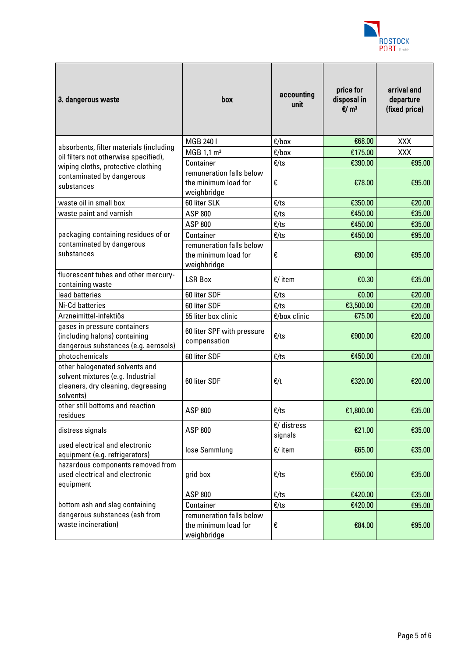

| 3. dangerous waste                                                                                                     | box                                                             | accounting<br>unit       | price for<br>disposal in<br>$E/m^3$ | arrival and<br>departure<br>(fixed price) |
|------------------------------------------------------------------------------------------------------------------------|-----------------------------------------------------------------|--------------------------|-------------------------------------|-------------------------------------------|
|                                                                                                                        | MGB 2401                                                        | $E/b$ ox                 | €68.00                              | <b>XXX</b>                                |
| absorbents, filter materials (including                                                                                | MGB 1,1 m <sup>3</sup>                                          | $E/b$ ox                 | €175.00                             | XXX                                       |
| oil filters not otherwise specified),<br>wiping cloths, protective clothing                                            | Container                                                       | E/ts                     | €390.00                             | €95.00                                    |
| contaminated by dangerous<br>substances                                                                                | remuneration falls below<br>the minimum load for<br>weighbridge | €                        | €78.00                              | €95.00                                    |
| waste oil in small box                                                                                                 | 60 liter SLK                                                    | E/ts                     | €350.00                             | €20.00                                    |
| waste paint and varnish                                                                                                | ASP 800                                                         | E/ts                     | €450.00                             | €35.00                                    |
|                                                                                                                        | ASP 800                                                         | E/ts                     | €450.00                             | €35.00                                    |
| packaging containing residues of or                                                                                    | Container                                                       | E/ts                     | €450.00                             | €95.00                                    |
| contaminated by dangerous<br>substances                                                                                | remuneration falls below<br>the minimum load for<br>weighbridge | €                        | €90.00                              | €95.00                                    |
| fluorescent tubes and other mercury-<br>containing waste                                                               | <b>LSR Box</b>                                                  | $E/$ item                | €0.30                               | €35.00                                    |
| lead batteries                                                                                                         | 60 liter SDF                                                    | E/ts                     | €0.00                               | €20.00                                    |
| Ni-Cd batteries                                                                                                        | 60 liter SDF                                                    | E/ts                     | €3,500.00                           | €20.00                                    |
| Arzneimittel-infektiös                                                                                                 | 55 liter box clinic                                             | $E/b$ ox clinic          | €75.00                              | €20.00                                    |
| gases in pressure containers<br>(including halons) containing<br>dangerous substances (e.g. aerosols)                  | 60 liter SPF with pressure<br>compensation                      | E/ts                     | €900.00                             | €20.00                                    |
| photochemicals                                                                                                         | 60 liter SDF                                                    | E/ts                     | €450.00                             | €20.00                                    |
| other halogenated solvents and<br>solvent mixtures (e.g. Industrial<br>cleaners, dry cleaning, degreasing<br>solvents) | 60 liter SDF                                                    | $\epsilon/t$             | €320.00                             | €20.00                                    |
| other still bottoms and reaction<br>residues                                                                           | <b>ASP 800</b>                                                  | E/ts                     | €1,800.00                           | €35.00                                    |
| distress signals                                                                                                       | ASP 800                                                         | $E/d$ istress<br>signals | €21.00                              | €35.00                                    |
| used electrical and electronic<br>equipment (e.g. refrigerators)                                                       | lose Sammlung                                                   | $E/$ item                | €65.00                              | €35.00                                    |
| hazardous components removed from<br>used electrical and electronic<br>equipment                                       | grid box                                                        | E/ts                     | €550.00                             | €35.00                                    |
|                                                                                                                        | <b>ASP 800</b>                                                  | E/ts                     | €420.00                             | €35.00                                    |
| bottom ash and slag containing                                                                                         | Container                                                       | E/ts                     | €420.00                             | €95.00                                    |
| dangerous substances (ash from<br>waste incineration)                                                                  | remuneration falls below<br>the minimum load for<br>weighbridge | €                        | €84.00                              | €95.00                                    |